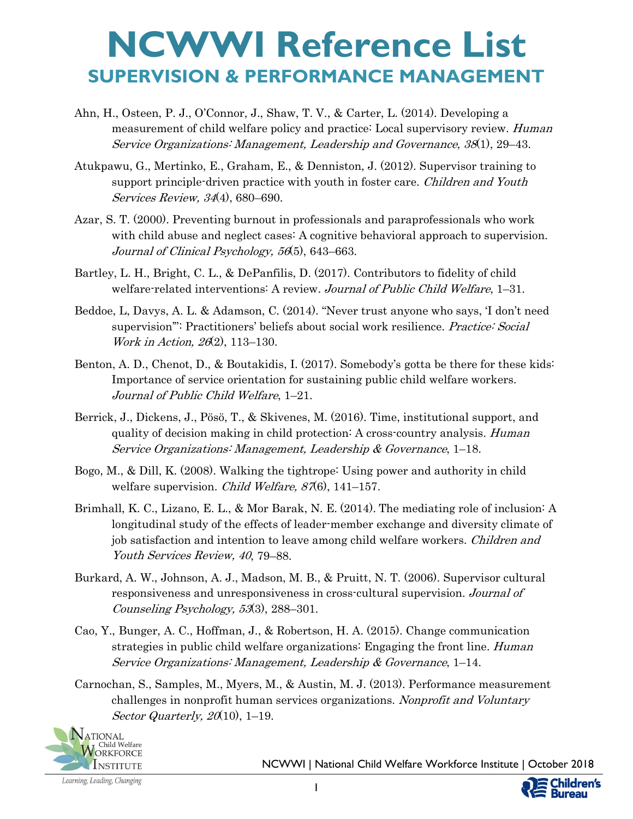- Ahn, H., Osteen, P. J., O'Connor, J., Shaw, T. V., & Carter, L. (2014). Developing a measurement of child welfare policy and practice: Local supervisory review. *Human* Service Organizations: Management, Leadership and Governance, 38(1), 29–43.
- Atukpawu, G., Mertinko, E., Graham, E., & Denniston, J. (2012). Supervisor training to support principle-driven practice with youth in foster care. Children and Youth Services Review, 34(4), 680–690.
- Azar, S. T. (2000). Preventing burnout in professionals and paraprofessionals who work with child abuse and neglect cases: A cognitive behavioral approach to supervision. Journal of Clinical Psychology, 56(5), 643–663.
- Bartley, L. H., Bright, C. L., & DePanfilis, D. (2017). Contributors to fidelity of child welfare-related interventions: A review. Journal of Public Child Welfare, 1-31.
- Beddoe, L, Davys, A. L. & Adamson, C. (2014). "Never trust anyone who says, 'I don't need supervision": Practitioners' beliefs about social work resilience. Practice: Social Work in Action, 26(2), 113–130.
- Benton, A. D., Chenot, D., & Boutakidis, I. (2017). Somebody's gotta be there for these kids: Importance of service orientation for sustaining public child welfare workers. Journal of Public Child Welfare, 1–21.
- Berrick, J., Dickens, J., Pösö, T., & Skivenes, M. (2016). Time, institutional support, and quality of decision making in child protection: A cross-country analysis. *Human* Service Organizations: Management, Leadership & Governance, 1–18.
- Bogo, M., & Dill, K. (2008). Walking the tightrope: Using power and authority in child welfare supervision. *Child Welfare, 87*(6), 141–157.
- Brimhall, K. C., Lizano, E. L., & Mor Barak, N. E. (2014). The mediating role of inclusion: A longitudinal study of the effects of leader-member exchange and diversity climate of job satisfaction and intention to leave among child welfare workers. Children and Youth Services Review, 40, 79–88.
- Burkard, A. W., Johnson, A. J., Madson, M. B., & Pruitt, N. T. (2006). Supervisor cultural responsiveness and unresponsiveness in cross-cultural supervision. Journal of Counseling Psychology, 53(3), 288–301.
- Cao, Y., Bunger, A. C., Hoffman, J., & Robertson, H. A. (2015). Change communication strategies in public child welfare organizations: Engaging the front line. *Human* Service Organizations: Management, Leadership & Governance, 1–14.
- Carnochan, S., Samples, M., Myers, M., & Austin, M. J. (2013). Performance measurement challenges in nonprofit human services organizations. Nonprofit and Voluntary Sector Quarterly,  $20(10)$ , 1–19.



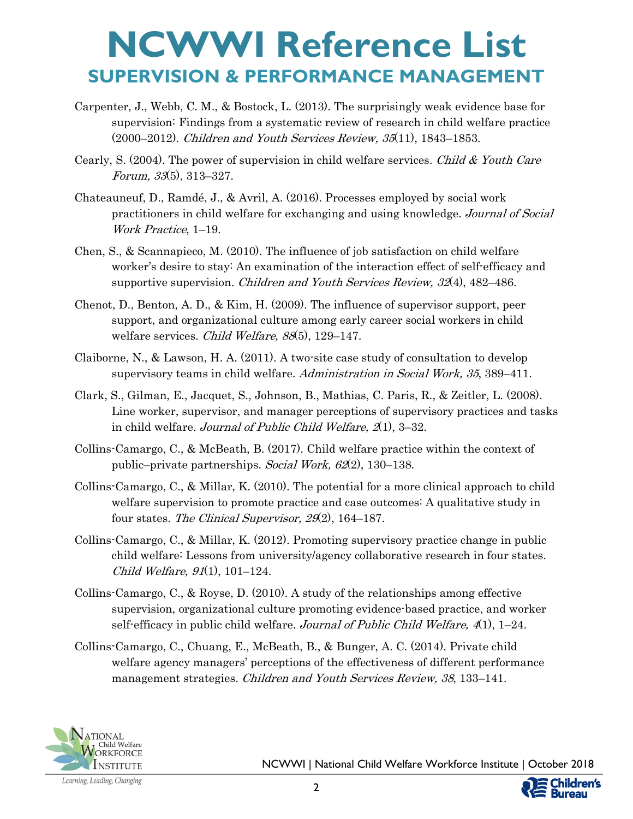- Carpenter, J., Webb, C. M., & Bostock, L. (2013). The surprisingly weak evidence base for supervision: Findings from a systematic review of research in child welfare practice (2000–2012). Children and Youth Services Review, 35(11), 1843–1853.
- Cearly, S. (2004). The power of supervision in child welfare services. Child & Youth Care Forum, 33(5), 313–327.
- Chateauneuf, D., Ramdé, J., & Avril, A. (2016). Processes employed by social work practitioners in child welfare for exchanging and using knowledge. Journal of Social Work Practice, 1–19.
- Chen, S., & Scannapieco, M. (2010). The influence of job satisfaction on child welfare worker's desire to stay: An examination of the interaction effect of self-efficacy and supportive supervision. *Children and Youth Services Review, 32*(4), 482–486.
- Chenot, D., Benton, A. D., & Kim, H. (2009). The influence of supervisor support, peer support, and organizational culture among early career social workers in child welfare services. Child Welfare, 88(5), 129-147.
- Claiborne, N., & Lawson, H. A. (2011). A two-site case study of consultation to develop supervisory teams in child welfare. Administration in Social Work, 35, 389–411.
- Clark, S., Gilman, E., Jacquet, S., Johnson, B., Mathias, C. Paris, R., & Zeitler, L. (2008). Line worker, supervisor, and manager perceptions of supervisory practices and tasks in child welfare. Journal of Public Child Welfare,  $\mathcal{Z}(1)$ , 3–32.
- Collins-Camargo, C., & McBeath, B. (2017). Child welfare practice within the context of public–private partnerships. Social Work, 62(2), 130–138.
- Collins-Camargo, C., & Millar, K. (2010). The potential for a more clinical approach to child welfare supervision to promote practice and case outcomes: A qualitative study in four states. The Clinical Supervisor, 29(2), 164–187.
- Collins-Camargo, C., & Millar, K. (2012). Promoting supervisory practice change in public child welfare: Lessons from university/agency collaborative research in four states. Child Welfare, 91(1), 101–124.
- Collins-Camargo, C., & Royse, D. (2010). A study of the relationships among effective supervision, organizational culture promoting evidence-based practice, and worker self-efficacy in public child welfare. Journal of Public Child Welfare,  $4(1)$ , 1–24.
- Collins-Camargo, C., Chuang, E., McBeath, B., & Bunger, A. C. (2014). Private child welfare agency managers' perceptions of the effectiveness of different performance management strategies. Children and Youth Services Review, 38, 133–141.

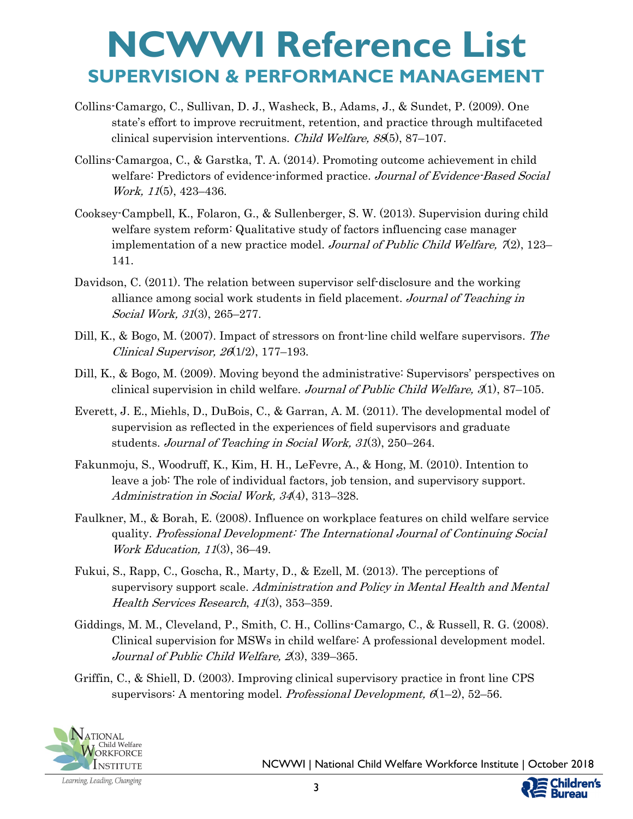- Collins-Camargo, C., Sullivan, D. J., Washeck, B., Adams, J., & Sundet, P. (2009). One state's effort to improve recruitment, retention, and practice through multifaceted clinical supervision interventions. Child Welfare, 88(5), 87–107.
- Collins-Camargoa, C., & Garstka, T. A. (2014). Promoting outcome achievement in child welfare: Predictors of evidence-informed practice. Journal of Evidence-Based Social Work, 11(5), 423–436.
- Cooksey-Campbell, K., Folaron, G., & Sullenberger, S. W. (2013). Supervision during child welfare system reform: Qualitative study of factors influencing case manager implementation of a new practice model. Journal of Public Child Welfare,  $\mathcal{I}(2)$ , 123– 141.
- Davidson, C. (2011). The relation between supervisor self-disclosure and the working alliance among social work students in field placement. Journal of Teaching in Social Work, 31(3), 265–277.
- Dill, K., & Bogo, M. (2007). Impact of stressors on front-line child welfare supervisors. The Clinical Supervisor, 26(1/2), 177–193.
- Dill, K., & Bogo, M. (2009). Moving beyond the administrative: Supervisors' perspectives on clinical supervision in child welfare. Journal of Public Child Welfare,  $\mathcal{A}$ 1), 87–105.
- Everett, J. E., Miehls, D., DuBois, C., & Garran, A. M. (2011). The developmental model of supervision as reflected in the experiences of field supervisors and graduate students. Journal of Teaching in Social Work, 31(3), 250–264.
- Fakunmoju, S., Woodruff, K., Kim, H. H., LeFevre, A., & Hong, M. (2010). Intention to leave a job: The role of individual factors, job tension, and supervisory support. Administration in Social Work, 34(4), 313–328.
- Faulkner, M., & Borah, E. (2008). Influence on workplace features on child welfare service quality. Professional Development: The International Journal of Continuing Social Work Education, 11(3), 36–49.
- Fukui, S., Rapp, C., Goscha, R., Marty, D., & Ezell, M. (2013). The perceptions of supervisory support scale. Administration and Policy in Mental Health and Mental Health Services Research, 41(3), 353–359.
- Giddings, M. M., Cleveland, P., Smith, C. H., Collins-Camargo, C., & Russell, R. G. (2008). Clinical supervision for MSWs in child welfare: A professional development model. Journal of Public Child Welfare, 2(3), 339-365.
- Griffin, C., & Shiell, D. (2003). Improving clinical supervisory practice in front line CPS supervisors: A mentoring model. Professional Development,  $6(1-2)$ , 52-56.



Learning, Leading, Changing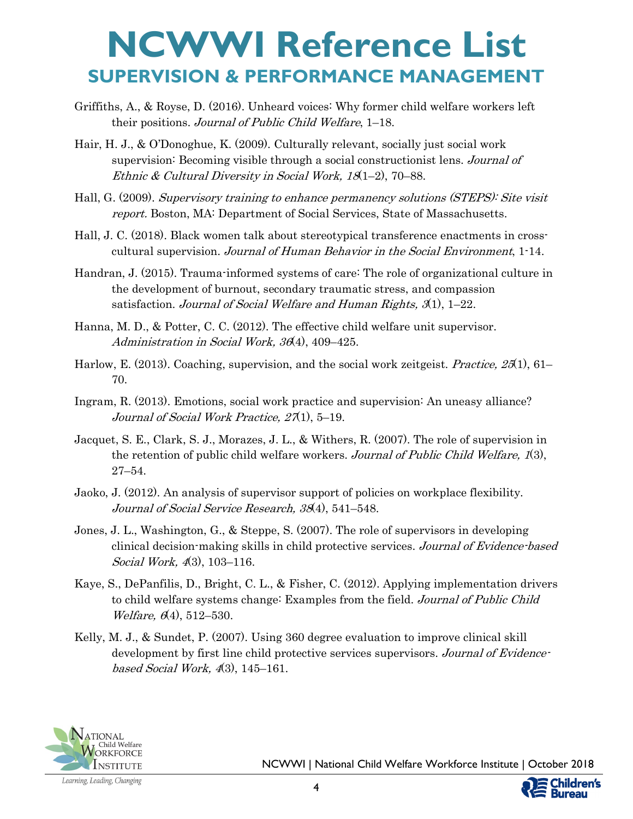- Griffiths, A., & Royse, D. (2016). Unheard voices: Why former child welfare workers left their positions. Journal of Public Child Welfare, 1–18.
- Hair, H. J., & O'Donoghue, K. (2009). Culturally relevant, socially just social work supervision: Becoming visible through a social constructionist lens. Journal of Ethnic & Cultural Diversity in Social Work, 18(1–2), 70–88.
- Hall, G. (2009). Supervisory training to enhance permanency solutions (STEPS): Site visit report. Boston, MA: Department of Social Services, State of Massachusetts.
- Hall, J. C. (2018). Black women talk about stereotypical transference enactments in crosscultural supervision. Journal of Human Behavior in the Social Environment, 1-14.
- Handran, J. (2015). Trauma-informed systems of care: The role of organizational culture in the development of burnout, secondary traumatic stress, and compassion satisfaction. Journal of Social Welfare and Human Rights,  $3(1)$ , 1–22.
- Hanna, M. D., & Potter, C. C. (2012). The effective child welfare unit supervisor. Administration in Social Work, 36(4), 409–425.
- Harlow, E. (2013). Coaching, supervision, and the social work zeitgeist. *Practice, 25*(1), 61– 70.
- Ingram, R. (2013). Emotions, social work practice and supervision: An uneasy alliance? Journal of Social Work Practice, 27(1), 5-19.
- Jacquet, S. E., Clark, S. J., Morazes, J. L., & Withers, R. (2007). The role of supervision in the retention of public child welfare workers. Journal of Public Child Welfare, 1(3), 27–54.
- Jaoko, J. (2012). An analysis of supervisor support of policies on workplace flexibility. Journal of Social Service Research, 38(4), 541–548.
- Jones, J. L., Washington, G., & Steppe, S. (2007). The role of supervisors in developing clinical decision-making skills in child protective services. Journal of Evidence-based Social Work, 4(3), 103-116.
- Kaye, S., DePanfilis, D., Bright, C. L., & Fisher, C. (2012). Applying implementation drivers to child welfare systems change: Examples from the field. Journal of Public Child Welfare,  $6(4)$ , 512-530.
- Kelly, M. J., & Sundet, P. (2007). Using 360 degree evaluation to improve clinical skill development by first line child protective services supervisors. Journal of Evidencebased Social Work,  $4(3)$ , 145–161.



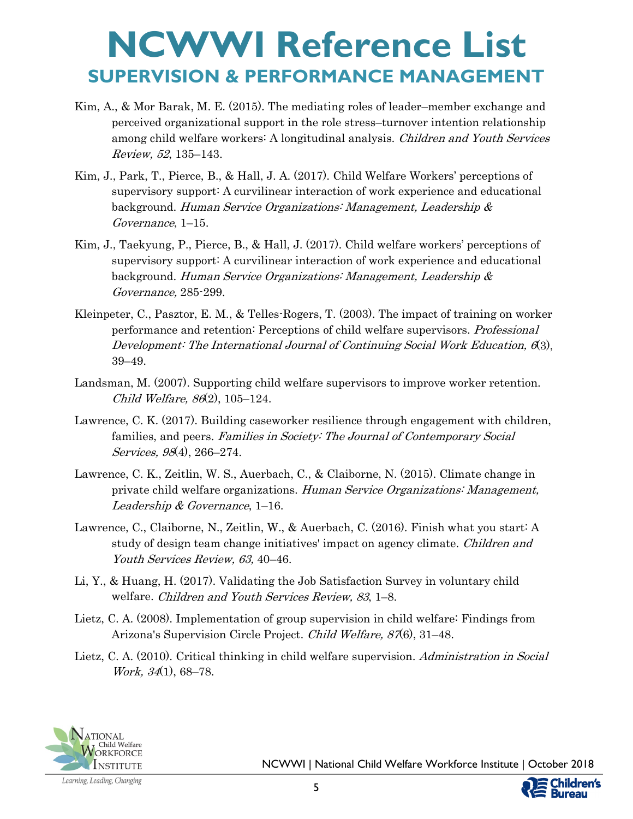- Kim, A., & Mor Barak, M. E. (2015). The mediating roles of leader–member exchange and perceived organizational support in the role stress–turnover intention relationship among child welfare workers: A longitudinal analysis. *Children and Youth Services* Review, 52, 135–143.
- Kim, J., Park, T., Pierce, B., & Hall, J. A. (2017). Child Welfare Workers' perceptions of supervisory support: A curvilinear interaction of work experience and educational background. Human Service Organizations: Management, Leadership & Governance, 1–15.
- Kim, J., Taekyung, P., Pierce, B., & Hall, J. (2017). Child welfare workers' perceptions of supervisory support: A curvilinear interaction of work experience and educational background. Human Service Organizations: Management, Leadership & Governance, 285-299.
- Kleinpeter, C., Pasztor, E. M., & Telles-Rogers, T. (2003). The impact of training on worker performance and retention: Perceptions of child welfare supervisors. Professional Development: The International Journal of Continuing Social Work Education, 6(3), 39–49.
- Landsman, M. (2007). Supporting child welfare supervisors to improve worker retention. Child Welfare, 86(2), 105–124.
- Lawrence, C. K. (2017). Building caseworker resilience through engagement with children, families, and peers. Families in Society: The Journal of Contemporary Social Services, 98(4), 266–274.
- Lawrence, C. K., Zeitlin, W. S., Auerbach, C., & Claiborne, N. (2015). Climate change in private child welfare organizations. Human Service Organizations: Management, Leadership & Governance, 1–16.
- Lawrence, C., Claiborne, N., Zeitlin, W., & Auerbach, C. (2016). Finish what you start: A study of design team change initiatives' impact on agency climate. Children and Youth Services Review, 63, 40–46.
- Li, Y., & Huang, H. (2017). Validating the Job Satisfaction Survey in voluntary child welfare. Children and Youth Services Review, 83, 1–8.
- Lietz, C. A. (2008). Implementation of group supervision in child welfare: Findings from Arizona's Supervision Circle Project. Child Welfare, 87(6), 31–48.
- Lietz, C. A. (2010). Critical thinking in child welfare supervision. Administration in Social Work, 34(1), 68–78.



NCWWI | National Child Welfare Workforce Institute | October 2018

ureau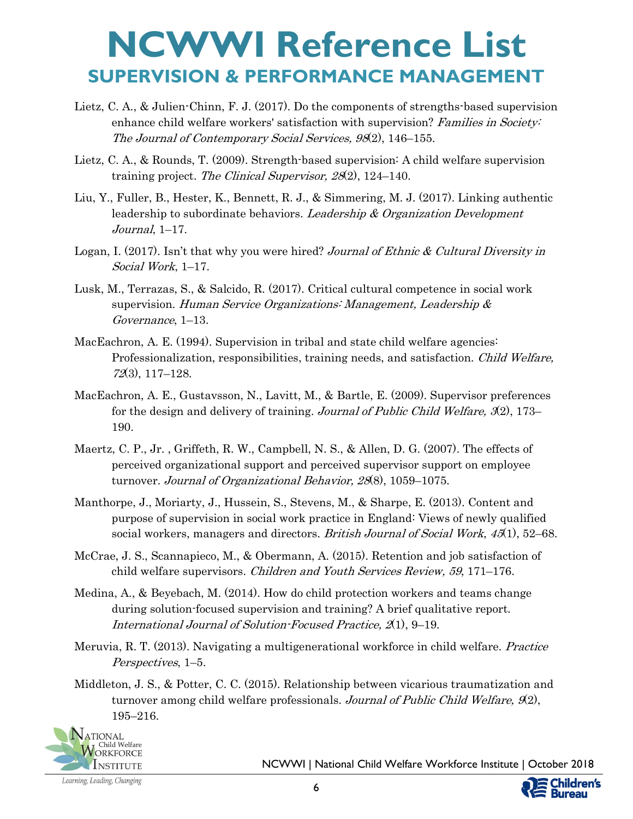- Lietz, C. A., & Julien-Chinn, F. J. (2017). Do the components of strengths-based supervision enhance child welfare workers' satisfaction with supervision? Families in Society: The Journal of Contemporary Social Services, 98(2), 146–155.
- Lietz, C. A., & Rounds, T. (2009). Strength-based supervision: A child welfare supervision training project. The Clinical Supervisor, 28(2), 124–140.
- Liu, Y., Fuller, B., Hester, K., Bennett, R. J., & Simmering, M. J. (2017). Linking authentic leadership to subordinate behaviors. Leadership & Organization Development Journal, 1–17.
- Logan, I. (2017). Isn't that why you were hired? Journal of Ethnic & Cultural Diversity in Social Work, 1–17.
- Lusk, M., Terrazas, S., & Salcido, R. (2017). Critical cultural competence in social work supervision. Human Service Organizations: Management, Leadership & Governance, 1–13.
- MacEachron, A. E. (1994). Supervision in tribal and state child welfare agencies: Professionalization, responsibilities, training needs, and satisfaction. *Child Welfare*, 72(3), 117–128.
- MacEachron, A. E., Gustavsson, N., Lavitt, M., & Bartle, E. (2009). Supervisor preferences for the design and delivery of training. *Journal of Public Child Welfare*,  $\mathcal{R}(2)$ , 173– 190.
- Maertz, C. P., Jr. , Griffeth, R. W., Campbell, N. S., & Allen, D. G. (2007). The effects of perceived organizational support and perceived supervisor support on employee turnover. Journal of Organizational Behavior, 28(8), 1059–1075.
- Manthorpe, J., Moriarty, J., Hussein, S., Stevens, M., & Sharpe, E. (2013). Content and purpose of supervision in social work practice in England: Views of newly qualified social workers, managers and directors. *British Journal of Social Work*, 45(1), 52–68.
- McCrae, J. S., Scannapieco, M., & Obermann, A. (2015). Retention and job satisfaction of child welfare supervisors. Children and Youth Services Review, 59, 171–176.
- Medina, A., & Beyebach, M. (2014). How do child protection workers and teams change during solution-focused supervision and training? A brief qualitative report. International Journal of Solution-Focused Practice, 2(1), 9–19.
- Meruvia, R. T. (2013). Navigating a multigenerational workforce in child welfare. *Practice* Perspectives, 1–5.
- Middleton, J. S., & Potter, C. C. (2015). Relationship between vicarious traumatization and turnover among child welfare professionals. Journal of Public Child Welfare,  $\mathcal{A}2$ , 195–216.



NCWWI | National Child Welfare Workforce Institute | October 2018

ildren's Bureau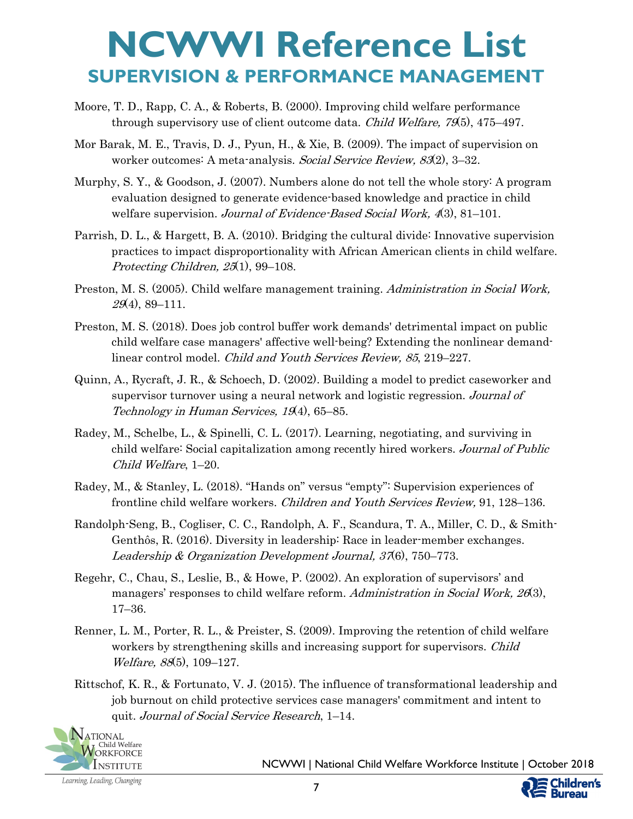- Moore, T. D., Rapp, C. A., & Roberts, B. (2000). Improving child welfare performance through supervisory use of client outcome data. *Child Welfare, 79*(5), 475–497.
- Mor Barak, M. E., Travis, D. J., Pyun, H., & Xie, B. (2009). The impact of supervision on worker outcomes: A meta-analysis. Social Service Review, 83(2), 3-32.
- Murphy, S. Y., & Goodson, J. (2007). Numbers alone do not tell the whole story: A program evaluation designed to generate evidence-based knowledge and practice in child welfare supervision. Journal of Evidence-Based Social Work, 4(3), 81–101.
- Parrish, D. L., & Hargett, B. A. (2010). Bridging the cultural divide: Innovative supervision practices to impact disproportionality with African American clients in child welfare. Protecting Children, 25(1), 99–108.
- Preston, M. S. (2005). Child welfare management training. Administration in Social Work,  $29(4)$ , 89-111.
- Preston, M. S. (2018). Does job control buffer work demands' detrimental impact on public child welfare case managers' affective well-being? Extending the nonlinear demandlinear control model. Child and Youth Services Review, 85, 219–227.
- Quinn, A., Rycraft, J. R., & Schoech, D. (2002). Building a model to predict caseworker and supervisor turnover using a neural network and logistic regression. Journal of Technology in Human Services, 19(4), 65–85.
- Radey, M., Schelbe, L., & Spinelli, C. L. (2017). Learning, negotiating, and surviving in child welfare: Social capitalization among recently hired workers. Journal of Public Child Welfare, 1–20.
- Radey, M., & Stanley, L. (2018). "Hands on" versus "empty": Supervision experiences of frontline child welfare workers. *Children and Youth Services Review*, 91, 128–136.
- Randolph-Seng, B., Cogliser, C. C., Randolph, A. F., Scandura, T. A., Miller, C. D., & Smith-Genthôs, R. (2016). Diversity in leadership: Race in leader-member exchanges. Leadership & Organization Development Journal, 37(6), 750–773.
- Regehr, C., Chau, S., Leslie, B., & Howe, P. (2002). An exploration of supervisors' and managers' responses to child welfare reform. Administration in Social Work, 26(3), 17–36.
- Renner, L. M., Porter, R. L., & Preister, S. (2009). Improving the retention of child welfare workers by strengthening skills and increasing support for supervisors. *Child* Welfare, 88(5), 109–127.
- Rittschof, K. R., & Fortunato, V. J. (2015). The influence of transformational leadership and job burnout on child protective services case managers' commitment and intent to quit. Journal of Social Service Research, 1–14.



NCWWI | National Child Welfare Workforce Institute | October 2018

**ildren's Bureau**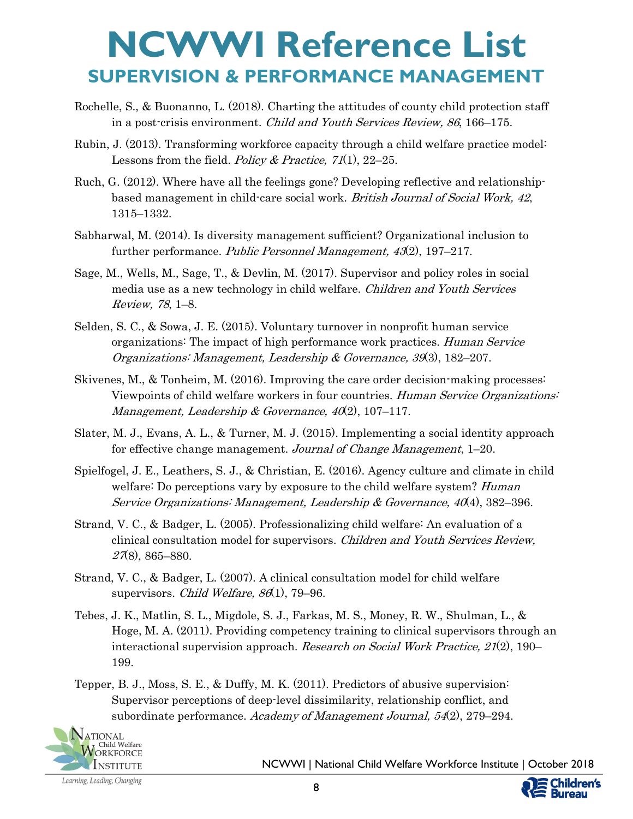- Rochelle, S., & Buonanno, L. (2018). Charting the attitudes of county child protection staff in a post-crisis environment. Child and Youth Services Review, 86, 166–175.
- Rubin, J. (2013). Transforming workforce capacity through a child welfare practice model: Lessons from the field. Policy & Practice,  $71(1)$ ,  $22-25$ .
- Ruch, G. (2012). Where have all the feelings gone? Developing reflective and relationshipbased management in child-care social work. British Journal of Social Work, 42, 1315–1332.
- Sabharwal, M. (2014). Is diversity management sufficient? Organizational inclusion to further performance. Public Personnel Management, 43(2), 197–217.
- Sage, M., Wells, M., Sage, T., & Devlin, M. (2017). Supervisor and policy roles in social media use as a new technology in child welfare. *Children and Youth Services* Review, 78, 1–8.
- Selden, S. C., & Sowa, J. E. (2015). Voluntary turnover in nonprofit human service organizations: The impact of high performance work practices. Human Service Organizations: Management, Leadership & Governance, 39(3), 182–207.
- Skivenes, M., & Tonheim, M. (2016). Improving the care order decision-making processes: Viewpoints of child welfare workers in four countries. Human Service Organizations: Management, Leadership & Governance,  $40(2)$ , 107-117.
- Slater, M. J., Evans, A. L., & Turner, M. J. (2015). Implementing a social identity approach for effective change management. Journal of Change Management, 1-20.
- Spielfogel, J. E., Leathers, S. J., & Christian, E. (2016). Agency culture and climate in child welfare: Do perceptions vary by exposure to the child welfare system? *Human* Service Organizations: Management, Leadership & Governance,  $40(4)$ , 382–396.
- Strand, V. C., & Badger, L. (2005). Professionalizing child welfare: An evaluation of a clinical consultation model for supervisors. Children and Youth Services Review, 27(8), 865–880.
- Strand, V. C., & Badger, L. (2007). A clinical consultation model for child welfare supervisors. *Child Welfare, 86*(1), 79–96.
- Tebes, J. K., Matlin, S. L., Migdole, S. J., Farkas, M. S., Money, R. W., Shulman, L., & Hoge, M. A. (2011). Providing competency training to clinical supervisors through an interactional supervision approach. Research on Social Work Practice, 21(2), 190– 199.
- Tepper, B. J., Moss, S. E., & Duffy, M. K. (2011). Predictors of abusive supervision: Supervisor perceptions of deep-level dissimilarity, relationship conflict, and subordinate performance. Academy of Management Journal, 54(2), 279–294.